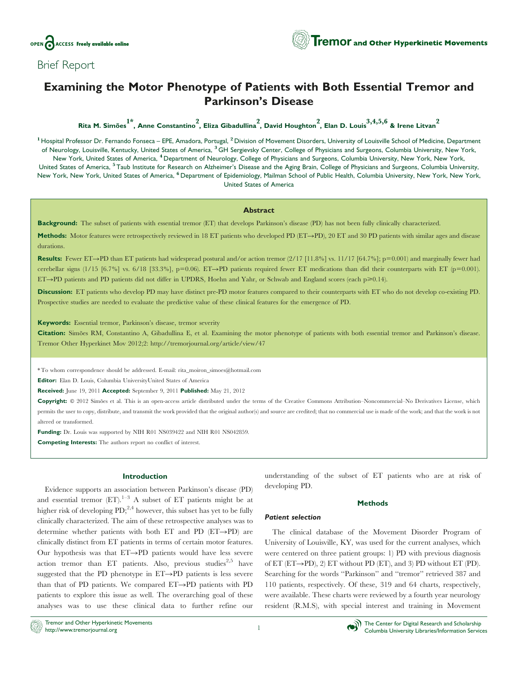

## Brief Report

# Examining the Motor Phenotype of Patients with Both Essential Tremor and Parkinson's Disease

Rita M. Simões  $1^*$ , Anne Constantino ?, Eliza Gibadullina ?, David Houghton  $^2$ , Elan D. Louis  $^{3,4,5,6}$  & Irene Litvan  $^2$ 

<sup>1</sup> Hospital Professor Dr. Fernando Fonseca – EPE, Amadora, Portugal, <sup>2</sup> Division of Movement Disorders, University of Louisville School of Medicine, Department of Neurology, Louisville, Kentucky, United States of America, <sup>3</sup> GH Sergievsky Center, College of Physicians and Surgeons, Columbia University, New York, New York, United States of America, <sup>4</sup> Department of Neurology, College of Physicians and Surgeons, Columbia University, New York, New York, United States of America, <sup>5</sup> Taub Institute for Research on Alzheimer's Disease and the Aging Brain, College of Physicians and Surgeons, Columbia University, New York, New York, United States of America, <sup>6</sup> Department of Epidemiology, Mailman School of Public Health, Columbia University, New York, New York, United States of America

## Abstract

Background: The subset of patients with essential tremor (ET) that develops Parkinson's disease (PD) has not been fully clinically characterized.

Methods: Motor features were retrospectively reviewed in 18 ET patients who developed PD (ET->PD), 20 ET and 30 PD patients with similar ages and disease durations.

Results: Fewer ET->PD than ET patients had widespread postural and/or action tremor  $(2/17$  [11.8%] vs. 11/17 [64.7%]; p=0.001) and marginally fewer had cerebellar signs (1/15 [6.7%] vs. 6/18 [33.3%], p=0.06). ET $\rightarrow$ PD patients required fewer ET medications than did their counterparts with ET (p=0.001). ET $\rightarrow$ PD patients and PD patients did not differ in UPDRS, Hoehn and Yahr, or Schwab and England scores (each p $\geq 0.14$ ).

Discussion: ET patients who develop PD may have distinct pre-PD motor features compared to their counterparts with ET who do not develop co-existing PD. Prospective studies are needed to evaluate the predictive value of these clinical features for the emergence of PD.

### Keywords: Essential tremor, Parkinson's disease, tremor severity

Citation: Simões RM, Constantino A, Gibadullina E, et al. Examining the motor phenotype of patients with both essential tremor and Parkinson's disease. Tremor Other Hyperkinet Mov 2012;2:<http://tremorjournal.org/article/view/47>

\* To whom correspondence should be addressed. E-mail: rita\_moiron\_simoes@hotmail.com

Editor: Elan D. Louis, Columbia UniversityUnited States of America

Received: June 19, 2011 Accepted: September 9, 2011 Published: May 21, 2012

Copyright:  $\circ$  2012 Simões et al. This is an open-access article distributed under the terms of the Creative Commons Attribution–Noncommercial–No Derivatives License, which permits the user to copy, distribute, and transmit the work provided that the original author(s) and source are credited; that no commercial use is made of the work; and that the work is not altered or transformed.

Funding: Dr. Louis was supported by NIH R01 NS039422 and NIH R01 NS042859.

Competing Interests: The authors report no conflict of interest.

## Introduction

Evidence supports an association between Parkinson's disease (PD) and essential tremor  $(ET)$ .<sup>1–3</sup> A subset of ET patients might be at higher risk of developing  $PD;^{2,4}$  however, this subset has yet to be fully clinically characterized. The aim of these retrospective analyses was to determine whether patients with both ET and PD  $(ET\rightarrow PD)$  are clinically distinct from ET patients in terms of certain motor features. Our hypothesis was that  $ET\rightarrow PD$  patients would have less severe action tremor than ET patients. Also, previous studies<sup>2,5</sup> have suggested that the PD phenotype in  $ET\rightarrow PD$  patients is less severe than that of PD patients. We compared  $ET\rightarrow PD$  patients with PD patients to explore this issue as well. The overarching goal of these analyses was to use these clinical data to further refine our

understanding of the subset of ET patients who are at risk of developing PD.

#### **Methods**

#### Patient selection

The clinical database of the Movement Disorder Program of University of Louisville, KY, was used for the current analyses, which were centered on three patient groups: 1) PD with previous diagnosis of ET (ET $\rightarrow$ PD), 2) ET without PD (ET), and 3) PD without ET (PD). Searching for the words ''Parkinson'' and ''tremor'' retrieved 387 and 110 patients, respectively. Of these, 319 and 64 charts, respectively, were available. These charts were reviewed by a fourth year neurology resident (R.M.S), with special interest and training in Movement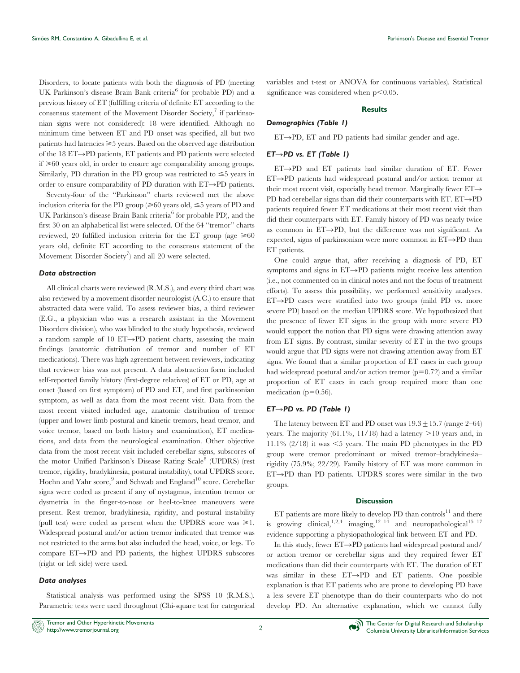Disorders, to locate patients with both the diagnosis of PD (meeting UK Parkinson's disease Brain Bank criteria<sup>6</sup> for probable PD) and a previous history of ET (fulfilling criteria of definite ET according to the consensus statement of the Movement Disorder Society, $\frac{7}{1}$  if parkinsonian signs were not considered): 18 were identified. Although no minimum time between ET and PD onset was specified, all but two patients had latencies  $\geq 5$  years. Based on the observed age distribution of the 18  $ET\rightarrow PD$  patients,  $ET$  patients and PD patients were selected  $if \geq 60$  years old, in order to ensure age comparability among groups. Similarly, PD duration in the PD group was restricted to  $\leq$ 5 years in order to ensure comparability of PD duration with  $ET\rightarrow PD$  patients.

Seventy-four of the ''Parkinson'' charts reviewed met the above inclusion criteria for the PD group  $(\geq 60$  years old,  $\leq 5$  years of PD and UK Parkinson's disease Brain Bank criteria<sup>6</sup> for probable PD), and the first 30 on an alphabetical list were selected. Of the 64 ''tremor'' charts reviewed, 20 fulfilled inclusion criteria for the ET group (age  $\geq 60$ years old, definite ET according to the consensus statement of the Movement Disorder Society<sup>7</sup>) and all 20 were selected.

## Data abstraction

All clinical charts were reviewed (R.M.S.), and every third chart was also reviewed by a movement disorder neurologist (A.C.) to ensure that abstracted data were valid. To assess reviewer bias, a third reviewer (E.G., a physician who was a research assistant in the Movement Disorders division), who was blinded to the study hypothesis, reviewed a random sample of 10 ET $\rightarrow$ PD patient charts, assessing the main findings (anatomic distribution of tremor and number of ET medications). There was high agreement between reviewers, indicating that reviewer bias was not present. A data abstraction form included self-reported family history (first-degree relatives) of ET or PD, age at onset (based on first symptom) of PD and ET, and first parkinsonian symptom, as well as data from the most recent visit. Data from the most recent visited included age, anatomic distribution of tremor (upper and lower limb postural and kinetic tremors, head tremor, and voice tremor, based on both history and examination), ET medications, and data from the neurological examination. Other objective data from the most recent visit included cerebellar signs, subscores of the motor Unified Parkinson's Disease Rating Scale<sup>8</sup> (UPDRS) (rest tremor, rigidity, bradykinesia, postural instability), total UPDRS score, Hoehn and Yahr score,<sup>9</sup> and Schwab and England<sup>10</sup> score. Cerebellar signs were coded as present if any of nystagmus, intention tremor or dysmetria in the finger-to-nose or heel-to-knee maneuvers were present. Rest tremor, bradykinesia, rigidity, and postural instability (pull test) were coded as present when the UPDRS score was  $\geq 1$ . Widespread postural and/or action tremor indicated that tremor was not restricted to the arms but also included the head, voice, or legs. To compare  $ET\rightarrow PD$  and PD patients, the highest UPDRS subscores (right or left side) were used.

## Data analyses

Statistical analysis was performed using the SPSS 10 (R.M.S.). Parametric tests were used throughout (Chi-square test for categorical variables and t-test or ANOVA for continuous variables). Statistical significance was considered when  $p<0.05$ .

#### **Results**

#### Demographics [\(Table 1\)](#page-2-0)

 $ET\rightarrow PD$ ,  $ET$  and PD patients had similar gender and age.

## $ET \rightarrow PD$  vs. ET [\(Table 1\)](#page-2-0)

 $ET\rightarrow PD$  and  $ET$  patients had similar duration of  $ET$ . Fewer  $ET\rightarrow PD$  patients had widespread postural and/or action tremor at their most recent visit, especially head tremor. Marginally fewer  $ET \rightarrow$ PD had cerebellar signs than did their counterparts with ET.  $ET \rightarrow PD$ patients required fewer ET medications at their most recent visit than did their counterparts with ET. Family history of PD was nearly twice as common in  $ET\rightarrow PD$ , but the difference was not significant. As expected, signs of parkinsonism were more common in  $ET\rightarrow PD$  than ET patients.

One could argue that, after receiving a diagnosis of PD, ET symptoms and signs in  $ET\rightarrow PD$  patients might receive less attention (i.e., not commented on in clinical notes and not the focus of treatment efforts). To assess this possibility, we performed sensitivity analyses.  $ET \rightarrow PD$  cases were stratified into two groups (mild PD vs. more severe PD) based on the median UPDRS score. We hypothesized that the presence of fewer ET signs in the group with more severe PD would support the notion that PD signs were drawing attention away from ET signs. By contrast, similar severity of ET in the two groups would argue that PD signs were not drawing attention away from ET signs. We found that a similar proportion of ET cases in each group had widespread postural and/or action tremor  $(p=0.72)$  and a similar proportion of ET cases in each group required more than one medication ( $p=0.56$ ).

## $ET \rightarrow PD$  vs. PD [\(Table 1\)](#page-2-0)

The latency between ET and PD onset was  $19.3 + 15.7$  (range 2–64) years. The majority  $(61.1\%, 11/18)$  had a latency  $>10$  years and, in 11.1%  $(2/18)$  it was  $\leq$ 5 years. The main PD phenotypes in the PD group were tremor predominant or mixed tremor–bradykinesia– rigidity (75.9%; 22/29). Family history of ET was more common in  $ET \rightarrow PD$  than PD patients. UPDRS scores were similar in the two groups.

## **Discussion**

 ${\rm ET}$  patients are more likely to develop PD than  $\rm controls^{11}$  and there is growing clinical,<sup>1,2,4</sup> imaging,<sup>12–14</sup> and neuropathological<sup>15–17</sup> evidence supporting a physiopathological link between ET and PD.

In this study, fewer  $ET\rightarrow PD$  patients had widespread postural and/ or action tremor or cerebellar signs and they required fewer ET medications than did their counterparts with ET. The duration of ET was similar in these  $ET\rightarrow PD$  and  $ET$  patients. One possible explanation is that ET patients who are prone to developing PD have a less severe ET phenotype than do their counterparts who do not develop PD. An alternative explanation, which we cannot fully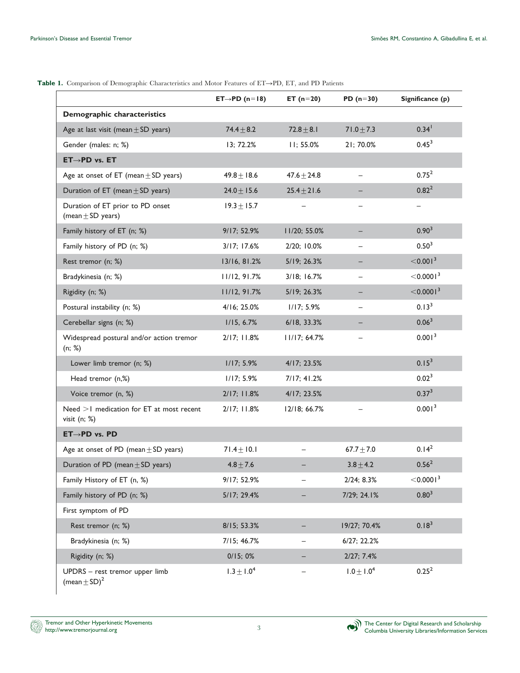|                                                                | $ET \rightarrow PD (n=18)$ | ET $(n=20)$      | PD $(n=30)$              | Significance (p)        |
|----------------------------------------------------------------|----------------------------|------------------|--------------------------|-------------------------|
| Demographic characteristics                                    |                            |                  |                          |                         |
| Age at last visit (mean $\pm$ SD years)                        | $74.4 \pm 8.2$             | $72.8 + 8.1$     | $71.0 \pm 7.3$           | $0.34$ <sup>1</sup>     |
| Gender (males: n; %)                                           | 13; 72.2%                  | 11; 55.0%        | 21; 70.0%                | $0.45^3$                |
| $ET \rightarrow PD$ vs. $ET$                                   |                            |                  |                          |                         |
| Age at onset of ET (mean $\pm$ SD years)                       | $49.8 + 18.6$              | $47.6 \pm 24.8$  |                          | $0.75^2$                |
| Duration of ET (mean $\pm$ SD years)                           | $24.0 \pm 15.6$            | $25.4 \pm 21.6$  |                          | $0.82^{2}$              |
| Duration of ET prior to PD onset<br>(mean $\pm$ SD years)      | $19.3 \pm 15.7$            |                  |                          |                         |
| Family history of ET (n; %)                                    | 9/17; 52.9%                | 11/20; 55.0%     |                          | 0.90 <sup>3</sup>       |
| Family history of PD (n; %)                                    | 3/17; 17.6%                | 2/20; 10.0%      |                          | 0.50 <sup>3</sup>       |
| Rest tremor (n; %)                                             | 13/16, 81.2%               | 5/19; 26.3%      |                          | $<$ 0.001 <sup>3</sup>  |
| Bradykinesia (n; %)                                            | 11/12, 91.7%               | $3/18$ ; $16.7%$ |                          | $<$ 0.0001 <sup>3</sup> |
| Rigidity (n; %)                                                | 11/12, 91.7%               | 5/19; 26.3%      |                          | $<$ 0.0001 $^3$         |
| Postural instability (n; %)                                    | 4/16; 25.0%                | 1/17; 5.9%       | $\overline{\phantom{0}}$ | $0.13^{3}$              |
| Cerebellar signs (n; %)                                        | 1/15, 6.7%                 | 6/18, 33.3%      |                          | 0.06 <sup>3</sup>       |
| Widespread postural and/or action tremor<br>(n; % )            | 2/17; 11.8%                | 11/17; 64.7%     |                          | 0.001 <sup>3</sup>      |
| Lower limb tremor (n; %)                                       | 1/17; 5.9%                 | 4/17; 23.5%      |                          | $0.15^{3}$              |
| Head tremor (n,%)                                              | 1/17; 5.9%                 | 7/17; 41.2%      |                          | $0.02^3$                |
| Voice tremor (n, %)                                            | 2/17; 11.8%                | 4/17; 23.5%      |                          | $0.37^{3}$              |
| Need >1 medication for ET at most recent<br>visit $(n; % )$    | 2/17; 11.8%                | 12/18; 66.7%     |                          | 0.001 <sup>3</sup>      |
| $ET \rightarrow PD$ vs. PD                                     |                            |                  |                          |                         |
| Age at onset of PD (mean $\pm$ SD years)                       | $71.4 \pm 10.1$            |                  | $67.7 + 7.0$             | 0.14 <sup>2</sup>       |
| Duration of PD (mean $\pm$ SD years)                           | $4.8 \pm 7.6$              |                  | $3.8 + 4.2$              | $0.56^{2}$              |
| Family History of ET (n, %)                                    | 9/17; 52.9%                |                  | 2/24; 8.3%               | $<$ 0.0001 <sup>3</sup> |
| Family history of PD (n; %)                                    | 5/17; 29.4%                |                  | 7/29; 24.1%              | $0.80^{3}$              |
| First symptom of PD                                            |                            |                  |                          |                         |
| Rest tremor (n; %)                                             | 8/15; 53.3%                |                  | 19/27; 70.4%             | 0.18 <sup>3</sup>       |
| Bradykinesia (n; %)                                            | 7/15; 46.7%                |                  | 6/27; 22.2%              |                         |
| Rigidity (n; %)                                                | 0/15;0%                    |                  | 2/27; 7.4%               |                         |
| UPDRS - rest tremor upper limb<br>(mean $\pm$ SD) <sup>2</sup> | $1.3 \pm 1.0^{4}$          |                  | $1.0 \pm 1.0^{4}$        | $0.25^2$                |

<span id="page-2-0"></span>Table 1. Comparison of Demographic Characteristics and Motor Features of ET->PD, ET, and PD Patients

Tremor and Other Hyperkinetic Movements D) http://www.tremorjournal.org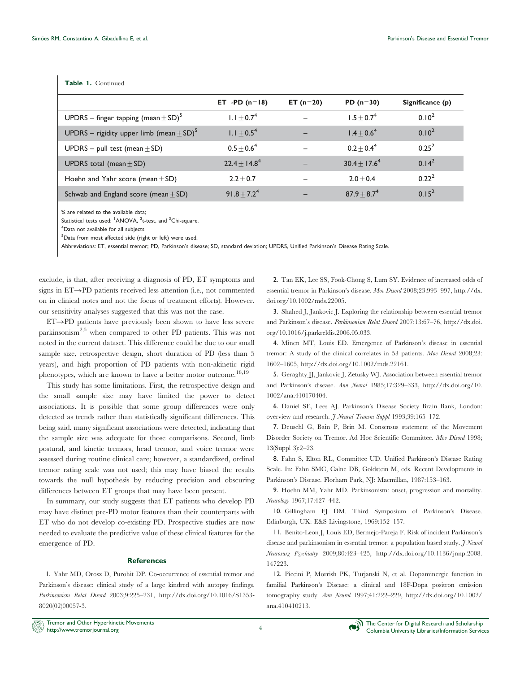## Table 1. Continued

|                                                          | $ET \rightarrow PD (n=18)$  | ET $(n=20)$ | PD $(n=30)$       | Significance (p)  |
|----------------------------------------------------------|-----------------------------|-------------|-------------------|-------------------|
| UPDRS – finger tapping (mean $\pm$ SD) <sup>5</sup>      | $1.1 \pm 0.7^4$             |             | $1.5 \pm 0.7^4$   | 0.10 <sup>2</sup> |
| UPDRS – rigidity upper limb (mean $\pm$ SD) <sup>5</sup> | $1.1 \pm 0.5^4$             | -           | $1.4 \pm 0.6^4$   | 0.10 <sup>2</sup> |
| UPDRS – pull test (mean $\pm$ SD)                        | $0.5 \pm 0.6^4$             | -           | $0.2 + 0.4^4$     | $0.25^2$          |
| UPDRS total (mean $\pm$ SD)                              | $22.4 + 14.8^{4}$           |             | $30.4 \pm 17.6^4$ | $0.14^2$          |
| Hoehn and Yahr score (mean $\pm$ SD)                     | $2.2 + 0.7$                 |             | $2.0 + 0.4$       | $0.22^{2}$        |
| Schwab and England score (mean $+$ SD)                   | 91.8 $\pm$ 7.2 <sup>4</sup> |             | $87.9 \pm 8.7^4$  | $0.15^2$          |

% are related to the available data;

Statistical tests used: <sup>1</sup>ANOVA, <sup>2</sup>t-test, and <sup>3</sup>Chi-square.

<sup>4</sup>Data not available for all subjects

<sup>5</sup>Data from most affected side (right or left) were used.

Abbreviations: ET, essential tremor; PD, Parkinson's disease; SD, standard deviation; UPDRS, Unified Parkinson's Disease Rating Scale.

exclude, is that, after receiving a diagnosis of PD, ET symptoms and signs in  $ET\rightarrow PD$  patients received less attention (i.e., not commented on in clinical notes and not the focus of treatment efforts). However, our sensitivity analyses suggested that this was not the case.

 $ET\rightarrow PD$  patients have previously been shown to have less severe parkinsonism<sup>2,5</sup> when compared to other PD patients. This was not noted in the current dataset. This difference could be due to our small sample size, retrospective design, short duration of PD (less than 5 years), and high proportion of PD patients with non-akinetic rigid phenotypes, which are known to have a better motor outcome.<sup>18,19</sup>

This study has some limitations. First, the retrospective design and the small sample size may have limited the power to detect associations. It is possible that some group differences were only detected as trends rather than statistically significant differences. This being said, many significant associations were detected, indicating that the sample size was adequate for those comparisons. Second, limb postural, and kinetic tremors, head tremor, and voice tremor were assessed during routine clinical care; however, a standardized, ordinal tremor rating scale was not used; this may have biased the results towards the null hypothesis by reducing precision and obscuring differences between ET groups that may have been present.

In summary, our study suggests that ET patients who develop PD may have distinct pre-PD motor features than their counterparts with ET who do not develop co-existing PD. Prospective studies are now needed to evaluate the predictive value of these clinical features for the emergence of PD.

## References

1. Yahr MD, Orosz D, Purohit DP. Co-occurrence of essential tremor and Parkinson's disease: clinical study of a large kindred with autopsy findings. Parkinsonism Relat Disord 2003;9:225–231, [http://dx.doi.org/10.1016/S1353-](http://dx.doi.org/10.1016%2FS1353-8020%2802%2900057-3) [8020\(02\)00057-3.](http://dx.doi.org/10.1016%2FS1353-8020%2802%2900057-3)

2. Tan EK, Lee SS, Fook-Chong S, Lum SY. Evidence of increased odds of essential tremor in Parkinson's disease. Mov Disord 2008;23:993–997, [http://dx.](http://dx.doi.org/10.1002%2Fmds.22005) [doi.org/10.1002/mds.22005.](http://dx.doi.org/10.1002%2Fmds.22005)

3. Shahed J, Jankovic J. Exploring the relationship between essential tremor and Parkinson's disease. Parkinsonism Relat Disord 2007;13:67-76, [http://dx.doi.](http://dx.doi.org/10.1016%2Fj.parkreldis.2006.05.033) [org/10.1016/j.parkreldis.2006.05.033.](http://dx.doi.org/10.1016%2Fj.parkreldis.2006.05.033)

4. Minen MT, Louis ED. Emergence of Parkinson's disease in essential tremor: A study of the clinical correlates in 53 patients. Mov Disord 2008;23: 1602–1605, [http://dx.doi.org/10.1002/mds.22161.](http://dx.doi.org/10.1002%2Fmds.22161)

5. Geraghty JJ, Jankovic J, Zetusky WJ. Association between essential tremor and Parkinson's disease. Ann Neurol 1985;17:329–333, [http://dx.doi.org/10.](http://dx.doi.org/10.1002%2Fana.410170404) [1002/ana.410170404.](http://dx.doi.org/10.1002%2Fana.410170404)

6. Daniel SE, Lees AJ. Parkinson's Disease Society Brain Bank, London: overview and research. *J Neural Transm Suppl* 1993;39:165-172.

7. Deuschl G, Bain P, Brin M. Consensus statement of the Movement Disorder Society on Tremor. Ad Hoc Scientific Committee. Mov Disord 1998; 13(Suppl 3):2–23.

8. Fahn S, Elton RL, Committee UD. Unified Parkinson's Disease Rating Scale. In: Fahn SMC, Calne DB, Goldstein M, eds. Recent Developments in Parkinson's Disease. Florham Park, NJ: Macmillan, 1987:153–163.

9. Hoehn MM, Yahr MD. Parkinsonism: onset, progression and mortality. Neurology 1967;17:427–442.

10. Gillingham FJ DM. Third Symposium of Parkinson's Disease. Edinburgh, UK: E&S Livingstone, 1969:152–157.

11. Benito-Leon J, Louis ED, Bermejo-Pareja F. Risk of incident Parkinson's disease and parkinsonism in essential tremor: a population based study. *J Neurol* Neurosurg Psychiatry 2009;80:423–425, [http://dx.doi.org/10.1136/jnnp.2008.](http://dx.doi.org/10.1136%2Fjnnp.2008.147223) [147223.](http://dx.doi.org/10.1136%2Fjnnp.2008.147223)

12. Piccini P, Morrish PK, Turjanski N, et al. Dopaminergic function in familial Parkinson's Disease: a clinical and 18F-Dopa positron emission tomography study. Ann Neurol 1997;41:222-229, [http://dx.doi.org/10.1002/](http://dx.doi.org/10.1002%2Fana.410410213) [ana.410410213.](http://dx.doi.org/10.1002%2Fana.410410213)